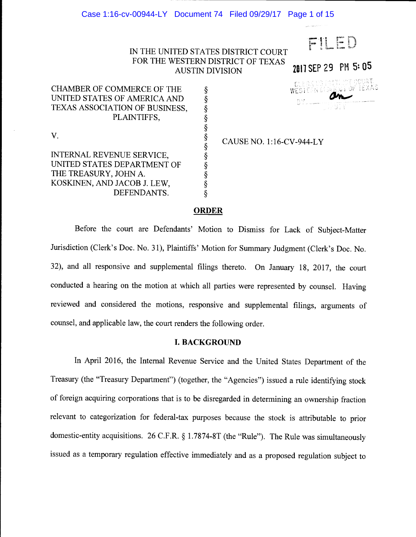### Case 1:16-cv-00944-LY Document 74 Filed 09/29/17 Page 1 of 15

## iN THE UNITED STATES DISTRICT COURT FOR THE WESTERN DISTRICT OF TEXAS AUSTIN DIVISION

CHAMBER OF COMMERCE OF THE UNITED STATES OF AMERICA AND TEXAS ASSOCIATION OF BUSINESS, PLAINTIFFS,

 $V.$   $\frac{8}{9}$ 

INTERNAL REVENUE SERVICE, UNITED STATES DEPARTMENT OF THE TREASURY, JOHN A. KOSKINEN, AND JACOB J. LEW,  $\S$ <br>DEFENDANTS.  $\S$ DEFENDANTS.

CAUSE NO. 1:16-CV-944-LY

 $\frac{1}{2}$   $\frac{1}{2}$   $\frac{1}{2}$   $\frac{1}{2}$   $\frac{1}{2}$   $\frac{1}{2}$   $\frac{1}{2}$   $\frac{1}{2}$   $\frac{1}{2}$   $\frac{1}{2}$   $\frac{1}{2}$   $\frac{1}{2}$   $\frac{1}{2}$   $\frac{1}{2}$   $\frac{1}{2}$   $\frac{1}{2}$   $\frac{1}{2}$   $\frac{1}{2}$   $\frac{1}{2}$   $\frac{1}{2}$   $\frac{1}{2}$   $\frac{1}{2}$ 

i<br>.....

2017 SEP 29 PM 5:05

### **ORDER**

§

Before the court are Defendants' Motion to Dismiss for Lack of Subject-Matter Jurisdiction (Clerk's Doc. No. 31), Plaintiffs' Motion for Summary Judgment (Clerk's Doe. No. 32), and all responsive and supplemental filings thereto. On January 18, 2017, the court conducted a hearing on the motion at which all parties were represented by counsel. Having reviewed and considered the motions, responsive and supplemental filings, arguments of counsel, and applicable law, the court renders the following order.

#### I. BACKGROUND

In April 2016, the Internal Revenue Service and the United States Department of the Treasury (the "Treasury Department") (together, the "Agencies") issued a rule identifying stock of foreign acquiring corporations that is to be disregarded in determining an ownership fraction relevant to categorization for federal-tax purposes because the stock is attributable to prior domestic-entity acquisitions. 26 C.F.R. § <sup>1</sup>.7874-8T (the "Rule"). The Rule was simultaneously issued as a temporary regulation effective immediately and as a proposed regulation subject to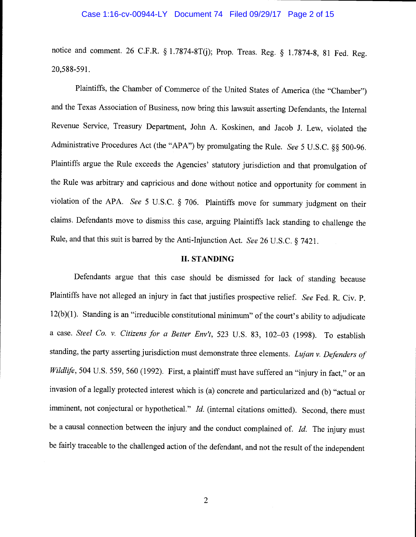#### Case 1:16-cv-00944-LY Document 74 Filed 09/29/17 Page 2 of 15

notice and comment. 26 C.F.R. § 1.7874-8T(j); Prop. Treas. Reg. § 1.7874-8, 81 Fed. Reg. 20,588-591.

Plaintiffs, the Chamber of Commerce of the United States of America (the "Chamber") and the Texas Association of Business, now bring this lawsuit asserting Defendants, the Internal Revenue Service, Treasury Department, John A. Koskinen, and Jacob J. Lew, violated the Administrative Procedures Act (the "APA") by promulgating the Rule. See 5 U.S.C. §§ 500-96. Plaintiffs argue the Rule exceeds the Agencies' statutory jurisdiction and that promulgation of the Rule was arbitrary and capricious and done without notice and opportunity for comment in violation of the APA. See 5 U.S.C. § 706. Plaintiffs move for summary judgment on their claims. Defendants move to dismiss this case, arguing Plaintiffs lack standing to challenge the Rule, and that this suit is barred by the Anti-Injunction Act. See 26 U.S.C. § 7421.

### II. STANDING

Defendants argue that this case should be dismissed for lack of standing because Plaintiffs have not alleged an injury in fact that justifies prospective relief. See Fed. R. Civ. P. 12(b)(1). Standing is an "irreducible constitutional minimum" of the court's ability to adjudicate a case. Steel Co. v. Citizens for a Better Env't, 523 U.S. 83, 102-03 (1998). To establish standing, the party asserting jurisdiction must demonstrate three elements. Lujan v. Defenders of Wildlife, 504 U.S. 559, 560 (1992). First, a plaintiff must have suffered an "injury in fact," or an invasion of a legally protected interest which is (a) concrete and particularized and (b) "actual or imminent, not conjectural or hypothetical." Id. (internal citations omitted). Second, there must be a causal connection between the injury and the conduct complained of.  $Id$ . The injury must be fairly traceable to the challenged action of the defendant, and not the result of the independent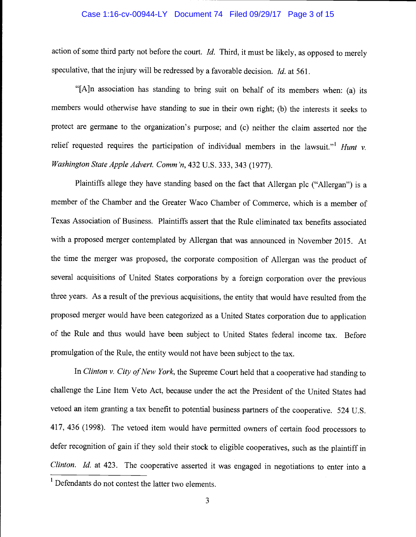#### Case 1:16-cv-00944-LY Document 74 Filed 09/29/17 Page 3 of 15

action of some third party not before the court. Id. Third, it must be likely, as opposed to merely speculative, that the injury will be redressed by a favorable decision. Id. at 561.

"[A}n association has standing to bring suit on behalf of its members when: (a) its members would otherwise have standing to sue in their own right; (b) the interests it seeks to protect are germane to the organization's purpose; and (c) neither the claim asserted nor the relief requested requires the participation of individual members in the lawsuit."<sup>1</sup> Hunt v. Washington State Apple Advert. Comm 'n, 432 U.S. 333, 343 (1977).

Plaintiffs allege they have standing based on the fact that Allergan plc ("Allergan") is a member of the Chamber and the Greater Waco Chamber of Commerce, which is a member of Texas Association of Business. Plaintiffs assert that the Rule eliminated tax benefits associated with a proposed merger contemplated by Allergan that was announced in November 2015. At the time the merger was proposed, the corporate composition of Allergan was the product of several acquisitions of United States corporations by a foreign corporation over the previous three years. As a result of the previous acquisitions, the entity that would have resulted from the proposed merger would have been categorized as a United States corporation due to application of the Rule and thus would have been subject to United States federal income tax. Before promulgation of the Rule, the entity would not have been subject to the tax.

In Clinton v. City of New York, the Supreme Court held that a cooperative had standing to challenge the Line Item Veto Act, because under the act the President of the United States had vetoed an item granting a tax benefit to potential business partners of the cooperative. 524 U.S. 417, 436 (1998). The vetoed item would have permitted owners of certain food processors to defer recognition of gain if they sold their stock to eligible cooperatives, such as the plaintiff in Clinton. Id. at 423. The cooperative asserted it was engaged in negotiations to enter into a

<sup>&</sup>lt;sup>1</sup> Defendants do not contest the latter two elements.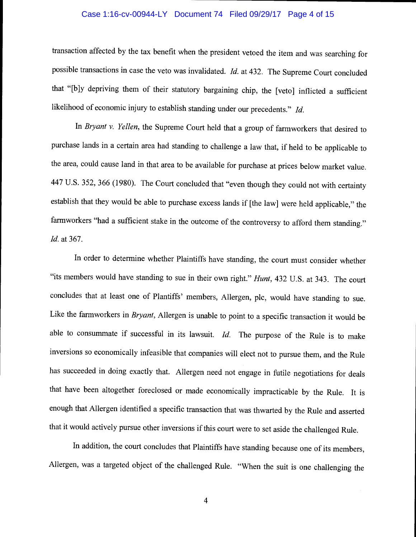#### Case 1:16-cv-00944-LY Document 74 Filed 09/29/17 Page 4 of 15

transaction affected by the tax benefit when the president vetoed the item and was searching for possible transactions in case the veto was invalidated. Id. at 432. The Supreme Court concluded that "[b]y depriving them of their statutory bargaining chip, the [veto] inflicted a sufficient likelihood of economic injury to establish standing under our precedents." Id.

In Bryant v. Yellen, the Supreme Court held that a group of farmworkers that desired to purchase lands in a certain area had standing to challenge a law that, if held to be applicable to the area, could cause land in that area to be available for purchase at prices below market value. 447 U.S. 352, 366 (1980). The Court concluded that "even though they could not with certainty establish that they would be able to purchase excess lands if [the law] were held applicable," the farmworkers "had a sufficient stake in the outcome of the controversy to afford them standing." Id. at 367.

In order to determine whether Plaintiffs have standing, the court must consider whether "its members would have standing to sue in their own right." Hunt, 432 U.S. at 343. The court concludes that at least one of Plantiffs' members, Allergen, plc, would have standing to sue. Like the farmworkers in Bryant, Allergen is unable to point to a specific transaction it would be able to consummate if successful in its lawsuit.  $Id$ . The purpose of the Rule is to make inversions so economically infeasible that companies will elect not to pursue them, and the Rule has succeeded in doing exactly that. Allergen need not engage in futile negotiations for deals that have been altogether foreclosed or made economically impracticable by the Rule. It is enough that Allergen identified a specific transaction that was thwarted by the Rule and asserted that it would actively pursue other inversions if this court were to set aside the challenged Rule.

In addition, the court concludes that Plaintiffs have standing because one of its members, Allergen, was a targeted object of the challenged Rule. "When the suit is one challenging the

 $\overline{4}$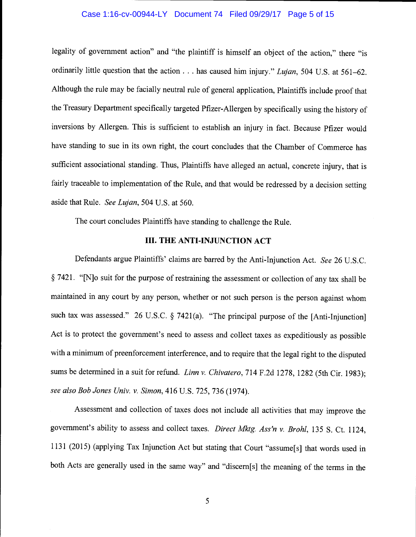#### Case 1:16-cv-00944-LY Document 74 Filed 09/29/17 Page 5 of 15

legality of government action" and "the plaintiff is himself an object of the action," there "is ordinarily little question that the action  $\ldots$  has caused him injury." Lujan, 504 U.S. at 561–62. Although the rule may be facially neutral rule of general application, Plaintiffs include proof that the Treasury Department specifically targeted Pfizer-Allergen by specifically using the history of inversions by Allergen. This is sufficient to establish an injury in fact. Because Pfizer would have standing to sue in its own right, the court concludes that the Chamber of Commerce has sufficient associational standing. Thus, Plaintiffs have alleged an actual, concrete injury, that is fairly traceable to implementation of the Rule, and that would be redressed by a decision setting aside that Rule. See Lujan, 504 U.S. at 560.

The court concludes Plaintiffs have standing to challenge the Rule.

### III. THE ANTI-INJUNCTION ACT

Defendants argue Plaintiffs' claims are barred by the Anti-Injunction Act. See 26 U.S.C. § 7421. "[N]o suit for the purpose of restraining the assessment or collection of any tax shall be maintained in any court by any person, whether or not such person is the person against whom such tax was assessed." 26 U.S.C. § 7421(a). "The principal purpose of the [Anti-Injunction] Act is to protect the government's need to assess and collect taxes as expeditiously as possible with a minimum of preenforcement interference, and to require that the legal right to the disputed sums be determined in a suit for refund. Linn v. Chivatero, 714 F.2d 1278, 1282 (5th Cir. 1983); see also Bob Jones Univ. v. Simon, 416 U.S. 725, 736 (1974).

Assessment and collection of taxes does not include all activities that may improve the government's ability to assess and collect taxes. Direct Mktg. Ass'n v. Brohl, 135 S. Ct. 1124, 1131(2015) (applying Tax Injunction Act but stating that Court "assume[s] that words used in both Acts are generally used in the same way" and "discern[s] the meaning of the terms in the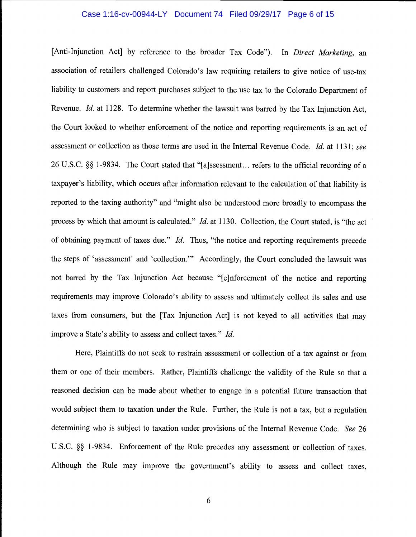#### Case 1:16-cv-00944-LY Document 74 Filed 09/29/17 Page 6 of 15

[Anti-Injunction Act] by reference to the broader Tax Code"). In Direct Marketing, an association of retailers challenged Colorado's law requiring retailers to give notice of use-tax liability to customers and report purchases subject to the use tax to the Colorado Department of Revenue. Id. at 1128. To determine whether the lawsuit was barred by the Tax Injunction Act, the Court looked to whether enforcement of the notice and reporting requirements is an act of assessment or collection as those terms are used in the Internal Revenue Code. Id. at 1131; see 26 U.S.C. § 1-9834. The Court stated that "[a]ssessment... refers to the official recording of a taxpayer's liability, which occurs after information relevant to the calculation of that liability is reported to the taxing authority" and "might also be understood more broadly to encompass the process by which that amount is calculated." *Id.* at 1130. Collection, the Court stated, is "the act of obtaining payment of taxes due." Id. Thus, "the notice and reporting requirements precede the steps of 'assessment' and 'collection." Accordingly, the Court concluded the lawsuit was not barred by the Tax Injunction Act because "[e]nforcement of the notice and reporting requirements may improve Colorado's ability to assess and ultimately collect its sales and use taxes from consumers, but the [Tax Injunction Act] is not keyed to all activities that may improve a State's ability to assess and collect taxes." Id.

Here, Plaintiffs do not seek to restrain assessment or collection of a tax against or from them or one of their members. Rather, Plaintiffs challenge the validity of the Rule so that a reasoned decision can be made about whether to engage in a potential future transaction that would subject them to taxation under the Rule. Further, the Rule is not a tax, but a regulation determining who is subject to taxation under provisions of the Internal Revenue Code. See 26 U.S.C. §§ 1-9834. Enforcement of the Rule precedes any assessment or collection of taxes. Although the Rule may improve the government's ability to assess and collect taxes,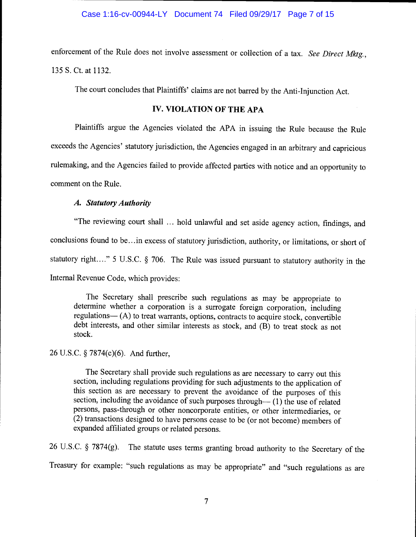enforcement of the Rule does not involve assessment or collection of a tax. See Direct Mktg., 135 S. Ct. at 1132.

The court concludes that Plaintiffs' claims are not barred by the Anti-Injunction Act.

# IV. VIOLATION OF THE APA

Plaintiffs argue the Agencies violated the APA in issuing the Rule because the Rule exceeds the Agencies' statutory jurisdiction, the Agencies engaged in an arbitrary and capricious rulemaking, and the Agencies failed to provide affected parties with notice and an opportunity to comment on the Rule.

## A. Statutory Authority

"The reviewing court shall ... hold unlawful and set aside agency action, findings, and conclusions found to be...in excess of statutory jurisdiction, authority, or limitations, or short of statutory right...." 5 U.S.C. § 706. The Rule was issued pursuant to statutory authority in the Internal Revenue Code, which provides:

The Secretary shall prescribe such regulations as may be appropriate to determine whether a corporation is a surrogate foreign corporation, including regulations  $-$  (A) to treat warrants, options, contracts to acquire stock, convertible debt interests, and other similar interests as stock, and (B) to treat stock as not stock.

# 26 U.S.C. § 7874(c)(6). And further,

The Secretary shall provide such regulations as are necessary to carry out this section, including regulations providing for such adjustments to the application of this section as are necessary to prevent the avoidance of the purposes of this section, including the avoidance of such purposes through— $(1)$  the use of related persons, pass-through or other noncorporate entities, or other intermediaries, or (2) transactions designed to have persons cease to be (or not become) members of expanded affiliated groups or related persons.

26 U.S.C. § 7874(g). The statute uses terms granting broad authority to the Secretary of the Treasury for example: "such regulations as may be appropriate" and "such regulations as are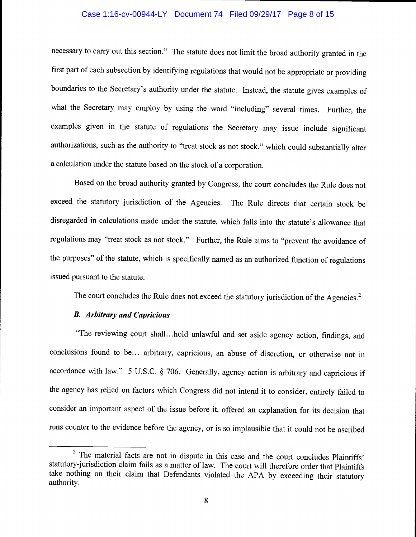#### Case 1:16-cv-00944-LY Document 74 Filed 09/29/17 Page 8 of 15

necessary to carry out this section." The statute does not limit the broad authority granted in the first part of each subsection by identifying regulations that would not be appropriate or providing boundaries to the Secretary's authority under the statute. Instead, the statute gives examples of what the Secretary may employ by using the word "including" several times. Further, the examples given in the statute of regulations the Secretary may issue include significant authorizations, such as the authority to "treat stock as not stock," which could substantially alter a calculation under the statute based on the stock of a corporation.

Based on the broad authority granted by Congress, the court concludes the Rule does not exceed the statutory jurisdiction of the Agencies. The Rule directs that certain stock be disregarded in calculations made under the statute, which falls into the statute's allowance that regulations may "treat stock as not stock." Further, the Rule aims to "prevent the avoidance of the purposes" of the statute, which is specifically named as an authorized function of regulations issued pursuant to the statute.

The court concludes the Rule does not exceed the statutory jurisdiction of the Agencies.<sup>2</sup>

## B. Arbitrary and Capricious

"The reviewing court shall.. .hold unlawful and set aside agency action, findings, and conclusions found to be... arbitrary, capricious, an abuse of discretion, or otherwise not in accordance with law." 5 U.S.C. § 706. Generally, agency action is arbitrary and capricious if the agency has relied on factors which Congress did not intend it to consider, entirely failed to consider an important aspect of the issue before it, offered an explanation for its decision that runs counter to the evidence before the agency, or is so implausible that it could not be ascribed

<sup>&</sup>lt;sup>2</sup> The material facts are not in dispute in this case and the court concludes Plaintiffs' statutory-jurisdiction claim fails as a matter of law. The court will therefore order that Plaintiffs take nothing on their claim that Defendants violated the APA by exceeding their statutory authority.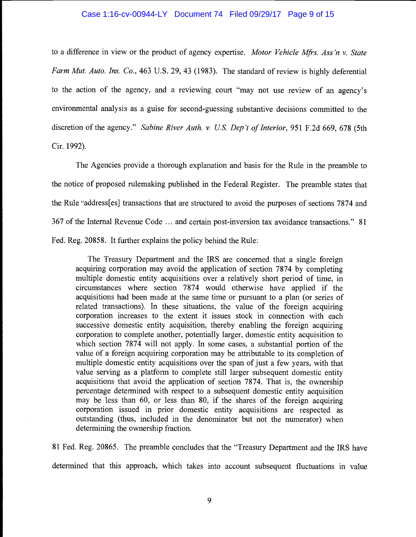#### Case 1:16-cv-00944-LY Document 74 Filed 09/29/17 Page 9 of 15

to a difference in view or the product of agency expertise. Motor Vehicle Mfrs. Ass'n v. State Farm Mut. Auto. Ins. Co., 463 U.S. 29, 43 (1983). The standard of review is highly deferential to the action of the agency, and a reviewing court "may not use review of an agency's environmental analysis as a guise for second-guessing substantive decisions committed to the discretion of the agency." Sabine River Auth. v. U.S. Dep't of Interior, 951 F.2d 669, 678 (5th Cir. 1992).

The Agencies provide a thorough explanation and basis for the Rule in the preamble to the notice of proposed rulemaking published in the Federal Register. The preamble states that the Rule "address[es] transactions that are structured to avoid the purposes of sections 7874 and 367 of the Internal Revenue Code ... and certain post-inversion tax avoidance transactions." 81 Fed. Reg. 20858. It further explains the policy behind the Rule:

The Treasury Department and the IRS are concerned that a single foreign acquiring corporation may avoid the application of section 7874 by completing multiple domestic entity acquisitions over a relatively short period of time, in circumstances where section 7874 would otherwise have applied if the acquisitions had been made at the same time or pursuant to a plan (or series of related transactions). In these situations, the value of the foreign acquiring corporation increases to the extent it issues stock in connection with each successive domestic entity acquisition, thereby enabling the foreign acquiring corporation to complete another, potentially larger, domestic entity acquisition to which section 7874 will not apply. In some cases, a substantial portion of the value of a foreign acquiring corporation may be attributable to its completion of multiple domestic entity acquisitions over the span of just a few years, with that value serving as a platform to complete still larger subsequent domestic entity acquisitions that avoid the application of section 7874. That is, the ownership percentage determined with respect to a subsequent domestic entity acquisition may be less than 60, or less than 80, if the shares of the foreign acquiring corporation issued in prior domestic entity acquisitions are respected as outstanding (thus, included in the denominator but not the numerator) when determining the ownership fraction.

81 Fed. Reg. 20865. The preamble concludes that the "Treasury Department and the IRS have determined that this approach, which takes into account subsequent fluctuations in value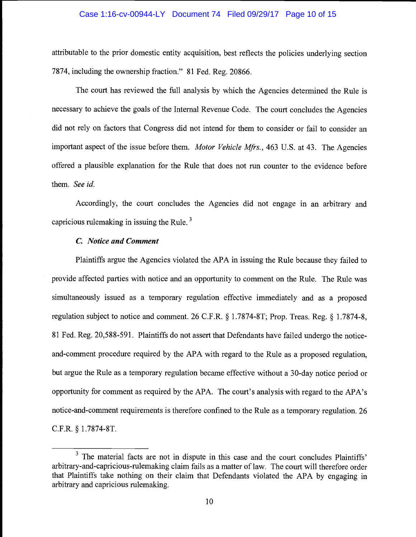#### Case 1:16-cv-00944-LY Document 74 Filed 09/29/17 Page 10 of 15

attributable to the prior domestic entity acquisition, best reflects the policies underlying section 7874, including the ownership fraction." 81 Fed. Reg. 20866.

The court has reviewed the full analysis by which the Agencies determined the Rule is necessary to achieve the goals of the Internal Revenue Code. The court concludes the Agencies did not rely on factors that Congress did not intend for them to consider or fail to consider an important aspect of the issue before them. Motor Vehicle Mfrs., 463 U.S. at 43. The Agencies offered a plausible explanation for the Rule that does not run counter to the evidence before them. See id.

Accordingly, the court concludes the Agencies did not engage in an arbitrary and capricious rulemaking in issuing the Rule.<sup>3</sup>

### C. Notice and Comment

Plaintiffs argue the Agencies violated the APA in issuing the Rule because they failed to provide affected parties with notice and an opportunity to comment on the Rule. The Rule was simultaneously issued as a temporary regulation effective immediately and as a proposed regulation subject to notice and comment. 26 C.F.R. § 1.7874-8T; Prop. Treas. Reg. § 1.7874-8, 81 Fed. Reg. 20,588-59 1. Plaintiffs do not assert that Defendants have failed undergo the noticeand-comment procedure required by the APA with regard to the Rule as a proposed regulation, but argue the Rule as a temporary regulation became effective without a 30-day notice period or opportunity for comment as required by the APA. The court's analysis with regard to the APA's notice-and-comment requirements is therefore confined to the Rule as a temporary regulation. 26 C.F.R. § 1.7874-8T.

 $3$  The material facts are not in dispute in this case and the court concludes Plaintiffs' arbitrary-and-capricious-rulemaking claim fails as a matter of law. The court will therefore order that Plaintiffs take nothing on their claim that Defendants violated the APA by engaging in arbitrary and capricious rulemaking.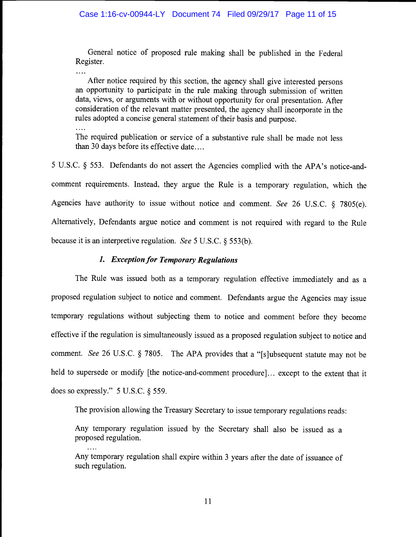General notice of proposed rule making shall be published in the Federal Register.

After notice required by this section, the agency shall give interested persons an opportunity to participate in the rule making through submission of written data, views, or arguments with or without opportunity for oral presentation. After consideration of the relevant matter presented, the agency shall incorporate in the rules adopted a concise general statement of their basis and purpose.

The required publication or service of a substantive rule shall be made not less than 30 days before its effective date....

<sup>5</sup>U.S.C. § 553. Defendants do not assert the Agencies complied with the APA's notice-andcomment requirements. Instead, they argue the Rule is a temporary regulation, which the Agencies have authority to issue without notice and comment. See 26 U.S.C.  $\S$  7805(e). Alternatively, Defendants argue notice and comment is not required with regard to the Rule because it is an interpretive regulation. See 5 U.S.C. § 553(b).

# 1. Exception for Temporary Regulations

The Rule was issued both as a temporary regulation effective immediately and as a proposed regulation subject to notice and comment. Defendants argue the Agencies may issue temporary regulations without subjecting them to notice and comment before they become effective if the regulation is simultaneously issued as a proposed regulation subject to notice and comment. See 26 U.S.C. § 7805. The APA provides that a "[s]ubsequent statute may not be held to supersede or modify [the notice-and-comment procedure]... except to the extent that it does so expressly." 5 U.S.C. § 559.

The provision allowing the Treasury Secretary to issue temporary regulations reads:

Any temporary regulation issued by the Secretary shall also be issued as a proposed regulation.

Any temporary regulation shall expire within 3 years after the date of issuance of such regulation.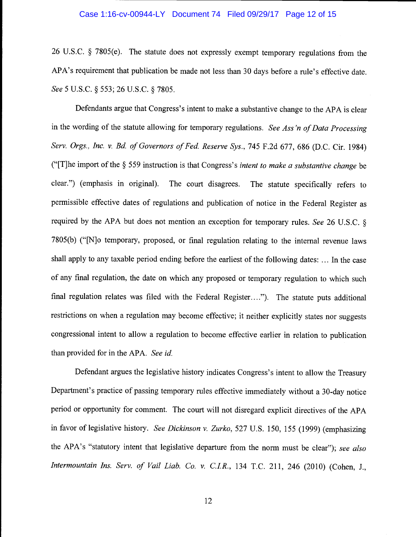#### Case 1:16-cv-00944-LY Document 74 Filed 09/29/17 Page 12 of 15

26 U.S.C. § 7805(e). The statute does not expressly exempt temporary regulations from the APA's requirement that publication be made not less than 30 days before a rule's effective date. See 5 U.S.C. § 553; 26 U.S.C. § 7805.

Defendants argue that congress's intent to make a substantive change to the APA is clear in the wording of the statute allowing for temporary regulations. See Ass'n of Data Processing Serv. Orgs., Inc. v. Bd. of Governors of Fed. Reserve Sys., 745 F.2d 677, 686 (D.C. Cir. 1984) (" $[T]$ he import of the § 559 instruction is that Congress's *intent to make a substantive change* be clear.") (emphasis in original). The court disagrees. The statute specifically refers to permissible effective dates of regulations and publication of notice in the Federal Register as required by the APA but does not mention an exception for temporary rules. See 26 U.S.C. § 7805(b) ("[N]o temporary, proposed, or final regulation relating to the internal revenue laws shall apply to any taxable period ending before the earliest of the following dates: ... In the case of any final regulation, the date on which any proposed or temporary regulation to which such final regulation relates was filed with the Federal Register...."). The statute puts additional restrictions on when a regulation may become effective; it neither explicitly states nor suggests congressional intent to allow a regulation to become effective earlier in relation to publication than provided for in the APA. See id.

Defendant argues the legislative history indicates Congress's intent to allow the Treasury Department's practice of passing temporary rules effective immediately without a 30-day notice period or opportunity for comment. The court will not disregard explicit directives of the APA in favor of legislative history. See Dickinson v. Zurko, 527 U.S. 150, 155 (1999) (emphasizing the APA's "statutory intent that legislative departure from the norm must be clear"); see also Intermountain Ins. Serv. of Vail Liab. Co. v. C.I.R., 134 T.C. 211, 246 (2010) (Cohen, J.,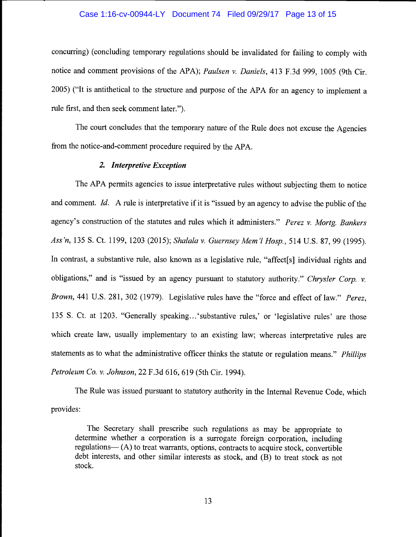#### Case 1:16-cv-00944-LY Document 74 Filed 09/29/17 Page 13 of 15

concurring) (concluding temporary regulations should be invalidated for failing to comply with notice and comment provisions of the APA); Paulsen v. Daniels, 413 F.3d 999, 1005 (9th Cir. 2005) ("It is antithetical to the structure and purpose of the APA for an agency to implement a rule first, and then seek comment later.").

The court concludes that the temporary nature of the Rule does not excuse the Agencies from the notice-and-comment procedure required by the APA.

## 2. Interpretive Exception

The APA permits agencies to issue interpretative rules without subjecting them to notice and comment. Id. A rule is interpretative if it is "issued by an agency to advise the public of the agency's construction of the statutes and rules which it administers." Perez v. Mortg. Bankers Ass'n, 135 S. Ct. 1199, 1203 (2015); Shalala v. Guernsey Mem'l Hosp., 514 U.S. 87,99(1995). In contrast, a substantive rule, also known as a legislative rule, "affect<sup>[s]</sup> individual rights and obligations," and is "issued by an agency pursuant to statutory authority." Chrysler Corp.  $\nu$ . Brown, 441 U.S. 281, 302 (1979). Legislative rules have the "force and effect of law." Perez, 135 S. Ct. at 1203. "Generally speaking.. .'substantive rules,' or 'legislative rules' are those which create law, usually implementary to an existing law; whereas interpretative rules are statements as to what the administrative officer thinks the statute or regulation means." *Phillips* Petroleum Co. v. Johnson, 22 F.3d 616, 619 (5th Cir. 1994).

The Rule was issued pursuant to statutory authority in the Internal Revenue Code, which provides:

The Secretary shall prescribe such regulations as may be appropriate to determine whether a corporation is a surrogate foreign corporation, including regulation  $-(A)$  to treat warrants, options, contracts to acquire stock, convertible debt interests, and other similar interests as stock, and (B) to treat stock as not stock.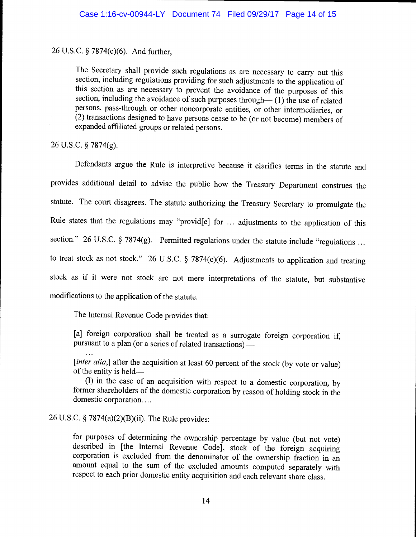# 26 U.S.C. § 7874(c)(6). And further,

The Secretary shall provide such regulations as are necessary to carry out this section, including regulations providing for such adjustments to the application of this section as are necessary to prevent the avoidance of the purposes of this section, including the avoidance of such purposes through— $(1)$  the use of related persons, pass-through or other noncorporate entities, or other intermediaries, or (2) transactions designed to have persons cease to be (or not become) members of expanded affiliated groups or related persons.

26 U.S.C. § 7874(g).

Defendants argue the Rule is interpretive because it clarifies terms in the statute and provides additional detail to advise the public how the Treasury Department construes the statute. The court disagrees. The statute authorizing the Treasury Secretary to promulgate the Rule states that the regulations may "provid{e] for ... adjustments to the application of this section." 26 U.S.C. § 7874(g). Permitted regulations under the statute include "regulations ... to treat stock as not stock." 26 U.S.C. § 7874(c)(6). Adjustments to application and treating stock as if it were not stock are not mere interpretations of the statute, but substantive modifications to the application of the statute.

The Internal Revenue Code provides that:

[a] foreign corporation shall be treated as a surrogate foreign corporation if, pursuant to a plan (or a series of related transactions)

[*inter alia*,] after the acquisition at least 60 percent of the stock (by vote or value) of the entity is held—<br>(I) in the case of an acquisition with respect to a domestic corporation, by

former shareholders of the domestic corporation by reason of holding stock in the domestic corporation....

# 26 U.S.C. § 7874(a)(2)(B)(ii). The Rule provides:

for purposes of determining the ownership percentage by value (but not vote) described in [the Internal Revenue Code], stock of the foreign acquiring corporation is excluded from the denominator of the ownership fraction i amount equal to the sum of the excluded amounts computed separately with respect to each prior domestic entity acquisition and each relevant share class.